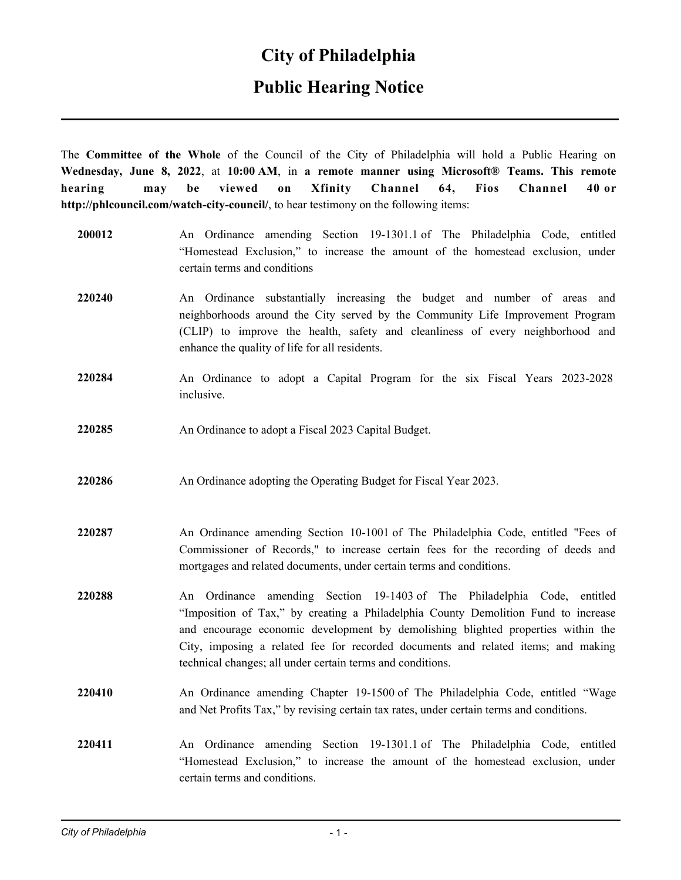## **Public Hearing Notice**

The **Committee of the Whole** of the Council of the City of Philadelphia will hold a Public Hearing on **Wednesday, June 8, 2022**, at **10:00 AM**, in **a remote manner using Microsoft® Teams. This remote hearing may be viewed on Xfinity Channel 64, Fios Channel 40 or http://phlcouncil.com/watch-city-council/**, to hear testimony on the following items:

| 200012 | An Ordinance amending Section 19-1301.1 of The Philadelphia Code, entitled<br>"Homestead Exclusion," to increase the amount of the homestead exclusion, under<br>certain terms and conditions                                                                                                                                                                                                         |
|--------|-------------------------------------------------------------------------------------------------------------------------------------------------------------------------------------------------------------------------------------------------------------------------------------------------------------------------------------------------------------------------------------------------------|
| 220240 | An Ordinance substantially increasing the budget and number of areas and<br>neighborhoods around the City served by the Community Life Improvement Program<br>(CLIP) to improve the health, safety and cleanliness of every neighborhood and<br>enhance the quality of life for all residents.                                                                                                        |
| 220284 | An Ordinance to adopt a Capital Program for the six Fiscal Years 2023-2028<br>inclusive.                                                                                                                                                                                                                                                                                                              |
| 220285 | An Ordinance to adopt a Fiscal 2023 Capital Budget.                                                                                                                                                                                                                                                                                                                                                   |
| 220286 | An Ordinance adopting the Operating Budget for Fiscal Year 2023.                                                                                                                                                                                                                                                                                                                                      |
| 220287 | An Ordinance amending Section 10-1001 of The Philadelphia Code, entitled "Fees of<br>Commissioner of Records," to increase certain fees for the recording of deeds and<br>mortgages and related documents, under certain terms and conditions.                                                                                                                                                        |
| 220288 | An Ordinance amending Section 19-1403 of The Philadelphia Code, entitled<br>"Imposition of Tax," by creating a Philadelphia County Demolition Fund to increase<br>and encourage economic development by demolishing blighted properties within the<br>City, imposing a related fee for recorded documents and related items; and making<br>technical changes; all under certain terms and conditions. |
| 220410 | An Ordinance amending Chapter 19-1500 of The Philadelphia Code, entitled "Wage<br>and Net Profits Tax," by revising certain tax rates, under certain terms and conditions.                                                                                                                                                                                                                            |
| 220411 | An Ordinance amending Section 19-1301.1 of The Philadelphia Code, entitled<br>"Homestead Exclusion," to increase the amount of the homestead exclusion, under<br>certain terms and conditions.                                                                                                                                                                                                        |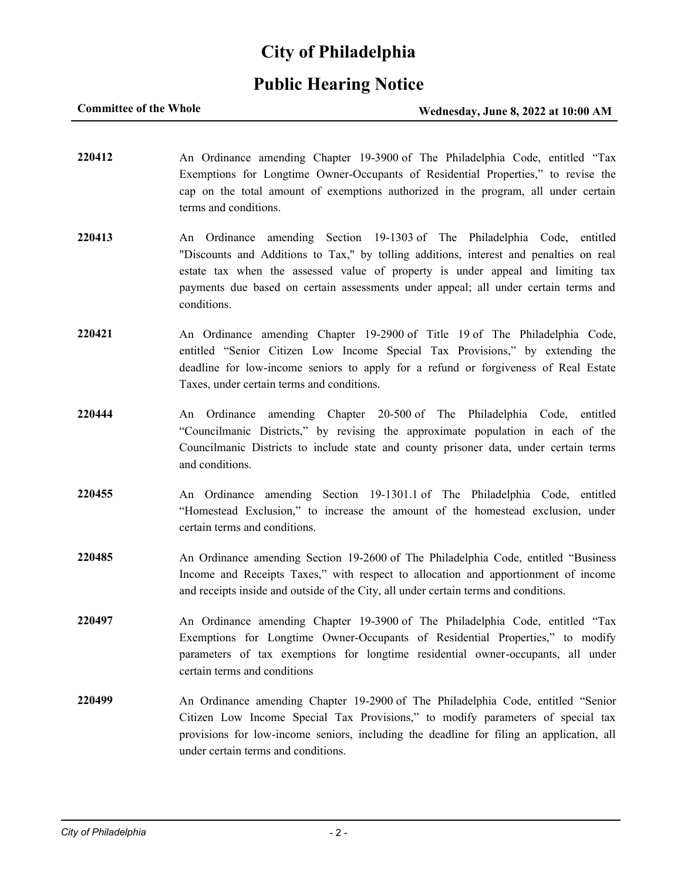## **Public Hearing Notice**

**220412** An Ordinance amending Chapter 19-3900 of The Philadelphia Code, entitled "Tax Exemptions for Longtime Owner-Occupants of Residential Properties," to revise the cap on the total amount of exemptions authorized in the program, all under certain terms and conditions. **220413** An Ordinance amending Section 19-1303 of The Philadelphia Code, entitled "Discounts and Additions to Tax," by tolling additions, interest and penalties on real estate tax when the assessed value of property is under appeal and limiting tax payments due based on certain assessments under appeal; all under certain terms and conditions. **220421** An Ordinance amending Chapter 19-2900 of Title 19 of The Philadelphia Code, entitled "Senior Citizen Low Income Special Tax Provisions," by extending the deadline for low-income seniors to apply for a refund or forgiveness of Real Estate Taxes, under certain terms and conditions. **220444** An Ordinance amending Chapter 20-500 of The Philadelphia Code, entitled "Councilmanic Districts," by revising the approximate population in each of the Councilmanic Districts to include state and county prisoner data, under certain terms and conditions. **220455** An Ordinance amending Section 19-1301.1 of The Philadelphia Code, entitled "Homestead Exclusion," to increase the amount of the homestead exclusion, under certain terms and conditions. **220485** An Ordinance amending Section 19-2600 of The Philadelphia Code, entitled "Business Income and Receipts Taxes," with respect to allocation and apportionment of income and receipts inside and outside of the City, all under certain terms and conditions. **220497** An Ordinance amending Chapter 19-3900 of The Philadelphia Code, entitled "Tax Exemptions for Longtime Owner-Occupants of Residential Properties," to modify parameters of tax exemptions for longtime residential owner-occupants, all under certain terms and conditions **220499** An Ordinance amending Chapter 19-2900 of The Philadelphia Code, entitled "Senior Citizen Low Income Special Tax Provisions," to modify parameters of special tax

under certain terms and conditions.

provisions for low-income seniors, including the deadline for filing an application, all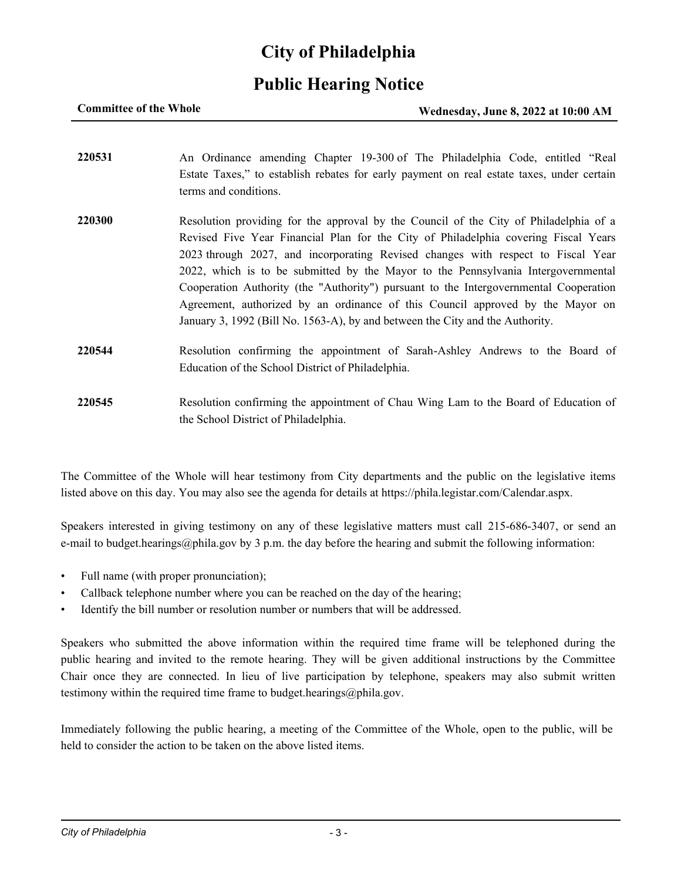## **Public Hearing Notice**

| <b>Committee of the Whole</b> | Wednesday, June 8, 2022 at 10:00 AM |
|-------------------------------|-------------------------------------|
|                               |                                     |

| 220531 | An Ordinance amending Chapter 19-300 of The Philadelphia Code, entitled "Real             |
|--------|-------------------------------------------------------------------------------------------|
|        | Estate Taxes," to establish rebates for early payment on real estate taxes, under certain |
|        | terms and conditions.                                                                     |
| 220300 | Resolution providing for the approval by the Council of the City of Philadelphia of a     |
|        | Revised Five Year Financial Plan for the City of Philadelphia covering Fiscal Years       |
|        | 2023 through 2027, and incorporating Revised changes with respect to Fiscal Year          |
|        | 2022, which is to be submitted by the Mayor to the Pennsylvania Intergovernmental         |
|        | Cooperation Authority (the "Authority") pursuant to the Intergovernmental Cooperation     |
|        | Agreement, authorized by an ordinance of this Council approved by the Mayor on            |
|        | January 3, 1992 (Bill No. 1563-A), by and between the City and the Authority.             |
| 220544 | Resolution confirming the appointment of Sarah-Ashley Andrews to the Board of             |
|        | Education of the School District of Philadelphia.                                         |
| 220545 | Resolution confirming the appointment of Chau Wing Lam to the Board of Education of       |
|        | the School District of Philadelphia.                                                      |

The Committee of the Whole will hear testimony from City departments and the public on the legislative items listed above on this day. You may also see the agenda for details at https://phila.legistar.com/Calendar.aspx.

Speakers interested in giving testimony on any of these legislative matters must call 215-686-3407, or send an e-mail to budget.hearings@phila.gov by 3 p.m. the day before the hearing and submit the following information:

- Full name (with proper pronunciation);
- Callback telephone number where you can be reached on the day of the hearing;
- Identify the bill number or resolution number or numbers that will be addressed.

Speakers who submitted the above information within the required time frame will be telephoned during the public hearing and invited to the remote hearing. They will be given additional instructions by the Committee Chair once they are connected. In lieu of live participation by telephone, speakers may also submit written testimony within the required time frame to budget.hearings@phila.gov.

Immediately following the public hearing, a meeting of the Committee of the Whole, open to the public, will be held to consider the action to be taken on the above listed items.